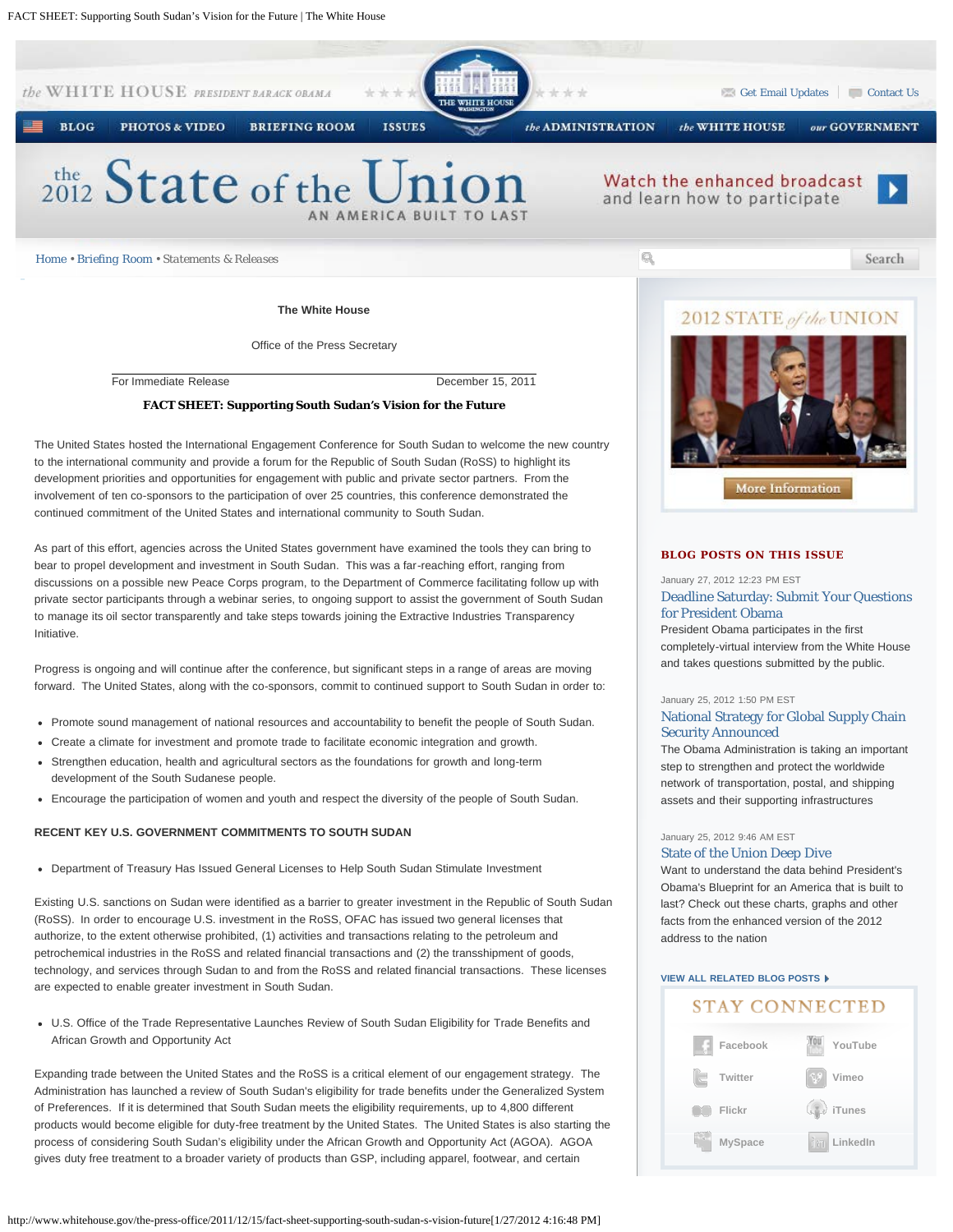

**The White House**

Office of the Press Secretary

For Immediate Release December 15, 2011

#### **FACT SHEET: Supporting South Sudan's Vision for the Future**

The United States hosted the International Engagement Conference for South Sudan to welcome the new country to the international community and provide a forum for the Republic of South Sudan (RoSS) to highlight its development priorities and opportunities for engagement with public and private sector partners. From the involvement of ten co-sponsors to the participation of over 25 countries, this conference demonstrated the continued commitment of the United States and international community to South Sudan.

As part of this effort, agencies across the United States government have examined the tools they can bring to bear to propel development and investment in South Sudan. This was a far-reaching effort, ranging from discussions on a possible new Peace Corps program, to the Department of Commerce facilitating follow up with private sector participants through a webinar series, to ongoing support to assist the government of South Sudan to manage its oil sector transparently and take steps towards joining the Extractive Industries Transparency Initiative.

Progress is ongoing and will continue after the conference, but significant steps in a range of areas are moving forward. The United States, along with the co-sponsors, commit to continued support to South Sudan in order to:

- Promote sound management of national resources and accountability to benefit the people of South Sudan.
- Create a climate for investment and promote trade to facilitate economic integration and growth.
- Strengthen education, health and agricultural sectors as the foundations for growth and long-term development of the South Sudanese people.
- Encourage the participation of women and youth and respect the diversity of the people of South Sudan.

#### **RECENT KEY U.S. GOVERNMENT COMMITMENTS TO SOUTH SUDAN**

Department of Treasury Has Issued General Licenses to Help South Sudan Stimulate Investment

Existing U.S. sanctions on Sudan were identified as a barrier to greater investment in the Republic of South Sudan (RoSS). In order to encourage U.S. investment in the RoSS, OFAC has issued two general licenses that authorize, to the extent otherwise prohibited, (1) activities and transactions relating to the petroleum and petrochemical industries in the RoSS and related financial transactions and (2) the transshipment of goods, technology, and services through Sudan to and from the RoSS and related financial transactions. These licenses are expected to enable greater investment in South Sudan.

U.S. Office of the Trade Representative Launches Review of South Sudan Eligibility for Trade Benefits and African Growth and Opportunity Act

Expanding trade between the United States and the RoSS is a critical element of our engagement strategy. The Administration has launched a review of South Sudan's eligibility for trade benefits under the Generalized System of Preferences. If it is determined that South Sudan meets the eligibility requirements, up to 4,800 different products would become eligible for duty-free treatment by the United States. The United States is also starting the process of considering South Sudan's eligibility under the African Growth and Opportunity Act (AGOA). AGOA gives duty free treatment to a broader variety of products than GSP, including apparel, footwear, and certain

# 2012 STATE of the UNION



## **BLOG POSTS ON THIS ISSUE**

January 27, 2012 12:23 PM EST

### [Deadline Saturday: Submit Your Questions](http://www.whitehouse.gov/blog/2012/01/27/deadline-saturday-submit-your-questions-president-obama) [for President Obama](http://www.whitehouse.gov/blog/2012/01/27/deadline-saturday-submit-your-questions-president-obama)

President Obama participates in the first completely-virtual interview from the White House and takes questions submitted by the public.

#### January 25, 2012 1:50 PM EST

# [National Strategy for Global Supply Chain](http://www.whitehouse.gov/blog/2012/01/25/national-strategy-global-supply-chain-security-announced) [Security Announced](http://www.whitehouse.gov/blog/2012/01/25/national-strategy-global-supply-chain-security-announced)

The Obama Administration is taking an important step to strengthen and protect the worldwide network of transportation, postal, and shipping assets and their supporting infrastructures

#### January 25, 2012 9:46 AM EST

# [State of the Union Deep Dive](http://www.whitehouse.gov/blog/2012/01/25/state-union-deep-dive)

Want to understand the data behind President's Obama's Blueprint for an America that is built to last? Check out these charts, graphs and other facts from the enhanced version of the 2012 address to the nation

# **[VIEW ALL RELATED BLOG POSTS](http://www.whitehouse.gov/blog/issues/Foreign-Policy)**

# STAY CONNECTED

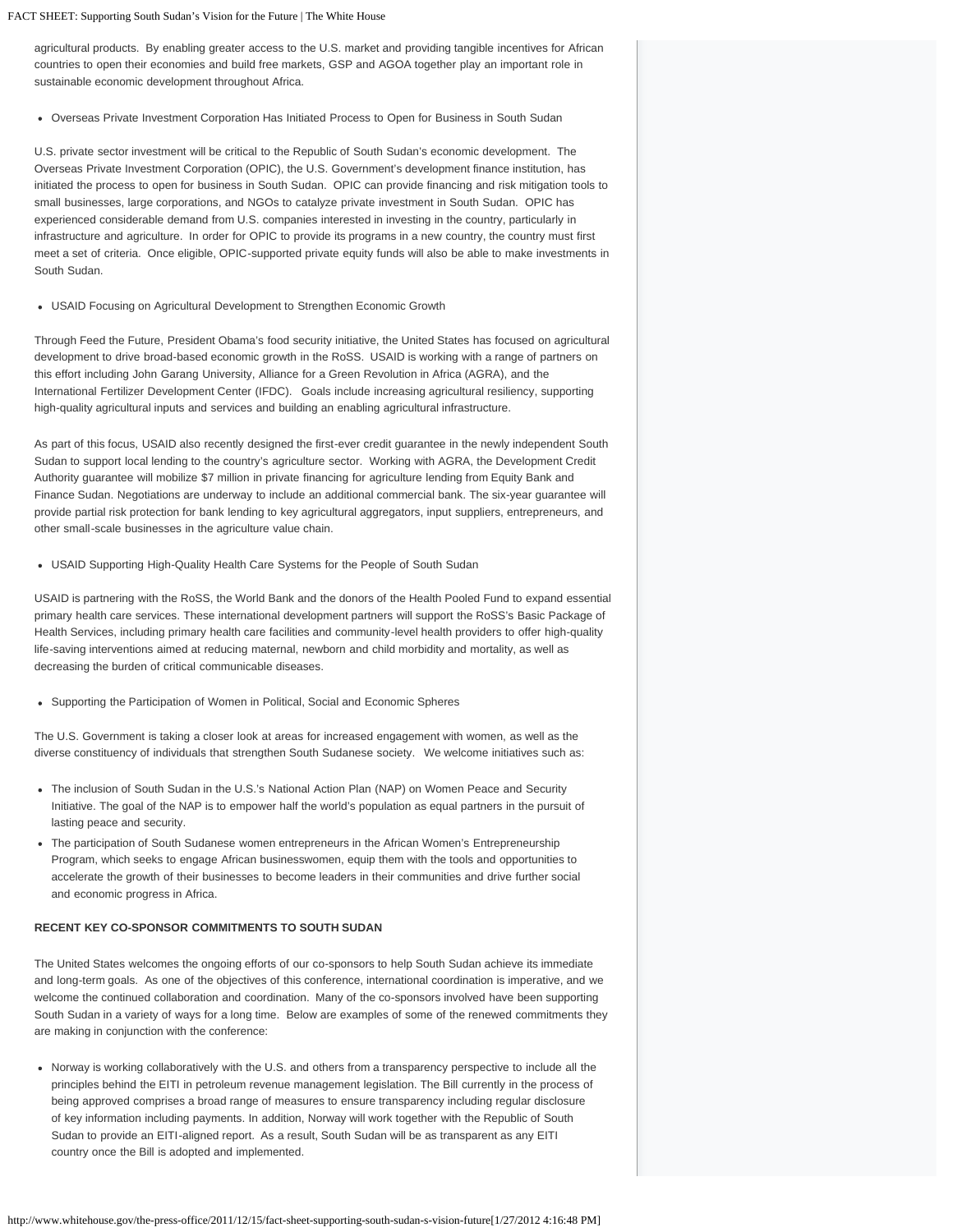FACT SHEET: Supporting South Sudan's Vision for the Future | The White House

agricultural products. By enabling greater access to the U.S. market and providing tangible incentives for African countries to open their economies and build free markets, GSP and AGOA together play an important role in sustainable economic development throughout Africa.

Overseas Private Investment Corporation Has Initiated Process to Open for Business in South Sudan

U.S. private sector investment will be critical to the Republic of South Sudan's economic development. The Overseas Private Investment Corporation (OPIC), the U.S. Government's development finance institution, has initiated the process to open for business in South Sudan. OPIC can provide financing and risk mitigation tools to small businesses, large corporations, and NGOs to catalyze private investment in South Sudan. OPIC has experienced considerable demand from U.S. companies interested in investing in the country, particularly in infrastructure and agriculture. In order for OPIC to provide its programs in a new country, the country must first meet a set of criteria. Once eligible, OPIC-supported private equity funds will also be able to make investments in South Sudan.

USAID Focusing on Agricultural Development to Strengthen Economic Growth

Through Feed the Future, President Obama's food security initiative, the United States has focused on agricultural development to drive broad-based economic growth in the RoSS. USAID is working with a range of partners on this effort including John Garang University, Alliance for a Green Revolution in Africa (AGRA), and the International Fertilizer Development Center (IFDC). Goals include increasing agricultural resiliency, supporting high-quality agricultural inputs and services and building an enabling agricultural infrastructure.

As part of this focus, USAID also recently designed the first-ever credit guarantee in the newly independent South Sudan to support local lending to the country's agriculture sector. Working with AGRA, the Development Credit Authority guarantee will mobilize \$7 million in private financing for agriculture lending from Equity Bank and Finance Sudan. Negotiations are underway to include an additional commercial bank. The six-year guarantee will provide partial risk protection for bank lending to key agricultural aggregators, input suppliers, entrepreneurs, and other small-scale businesses in the agriculture value chain.

USAID Supporting High-Quality Health Care Systems for the People of South Sudan

USAID is partnering with the RoSS, the World Bank and the donors of the Health Pooled Fund to expand essential primary health care services. These international development partners will support the RoSS's Basic Package of Health Services, including primary health care facilities and community-level health providers to offer high-quality life-saving interventions aimed at reducing maternal, newborn and child morbidity and mortality, as well as decreasing the burden of critical communicable diseases.

Supporting the Participation of Women in Political, Social and Economic Spheres

The U.S. Government is taking a closer look at areas for increased engagement with women, as well as the diverse constituency of individuals that strengthen South Sudanese society. We welcome initiatives such as:

- The inclusion of South Sudan in the U.S.'s National Action Plan (NAP) on Women Peace and Security Initiative. The goal of the NAP is to empower half the world's population as equal partners in the pursuit of lasting peace and security.
- The participation of South Sudanese women entrepreneurs in the African Women's Entrepreneurship Program, which seeks to engage African businesswomen, equip them with the tools and opportunities to accelerate the growth of their businesses to become leaders in their communities and drive further social and economic progress in Africa.

### **RECENT KEY CO-SPONSOR COMMITMENTS TO SOUTH SUDAN**

The United States welcomes the ongoing efforts of our co-sponsors to help South Sudan achieve its immediate and long-term goals. As one of the objectives of this conference, international coordination is imperative, and we welcome the continued collaboration and coordination. Many of the co-sponsors involved have been supporting South Sudan in a variety of ways for a long time. Below are examples of some of the renewed commitments they are making in conjunction with the conference:

Norway is working collaboratively with the U.S. and others from a transparency perspective to include all the principles behind the EITI in petroleum revenue management legislation. The Bill currently in the process of being approved comprises a broad range of measures to ensure transparency including regular disclosure of key information including payments. In addition, Norway will work together with the Republic of South Sudan to provide an EITI-aligned report. As a result, South Sudan will be as transparent as any EITI country once the Bill is adopted and implemented.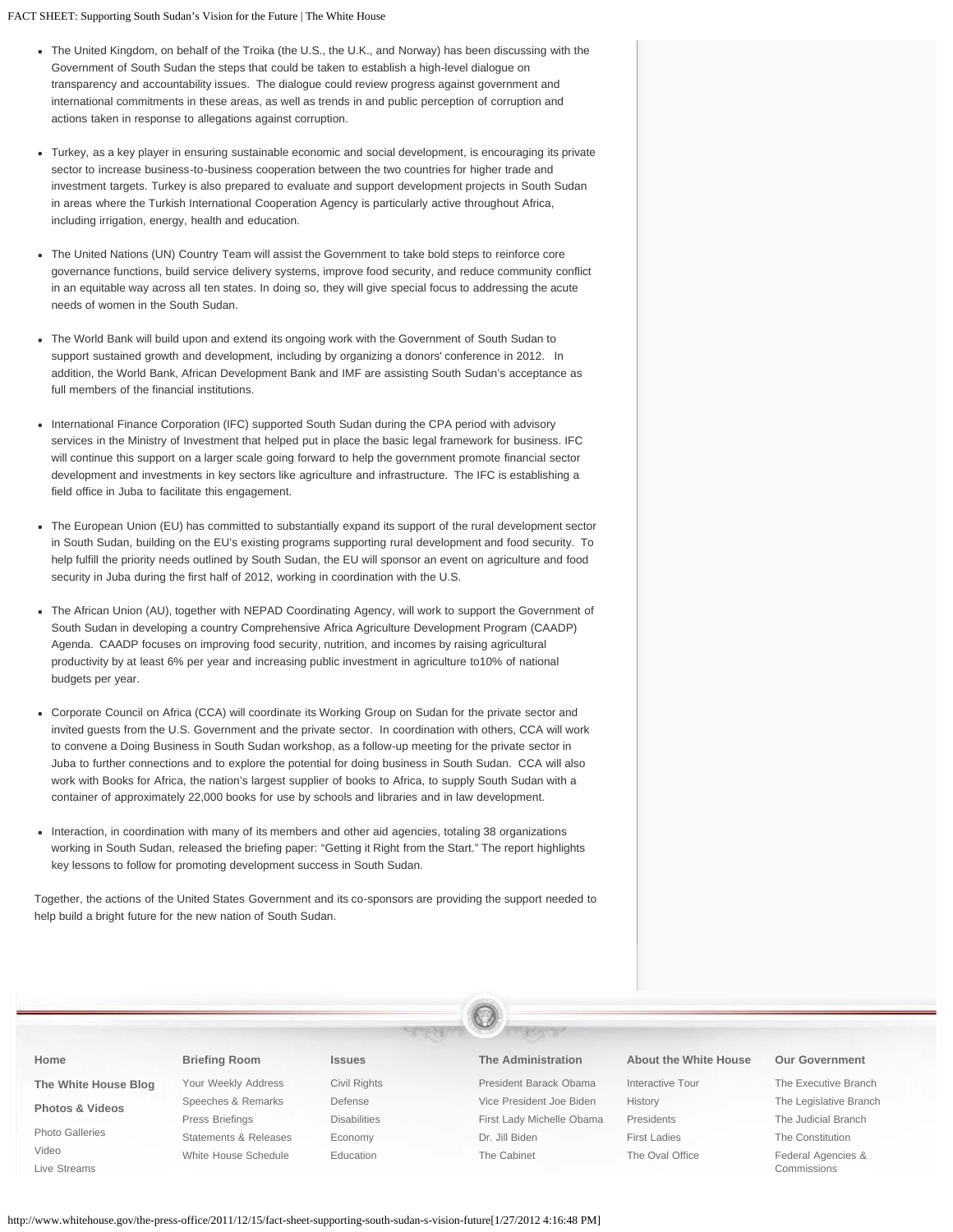FACT SHEET: Supporting South Sudan's Vision for the Future | The White House

- The United Kingdom, on behalf of the Troika (the U.S., the U.K., and Norway) has been discussing with the Government of South Sudan the steps that could be taken to establish a high-level dialogue on transparency and accountability issues. The dialogue could review progress against government and international commitments in these areas, as well as trends in and public perception of corruption and actions taken in response to allegations against corruption.
- Turkey, as a key player in ensuring sustainable economic and social development, is encouraging its private sector to increase business-to-business cooperation between the two countries for higher trade and investment targets. Turkey is also prepared to evaluate and support development projects in South Sudan in areas where the Turkish International Cooperation Agency is particularly active throughout Africa, including irrigation, energy, health and education.
- The United Nations (UN) Country Team will assist the Government to take bold steps to reinforce core governance functions, build service delivery systems, improve food security, and reduce community conflict in an equitable way across all ten states. In doing so, they will give special focus to addressing the acute needs of women in the South Sudan.
- The World Bank will build upon and extend its ongoing work with the Government of South Sudan to support sustained growth and development, including by organizing a donors' conference in 2012. In addition, the World Bank, African Development Bank and IMF are assisting South Sudan's acceptance as full members of the financial institutions.
- International Finance Corporation (IFC) supported South Sudan during the CPA period with advisory services in the Ministry of Investment that helped put in place the basic legal framework for business. IFC will continue this support on a larger scale going forward to help the government promote financial sector development and investments in key sectors like agriculture and infrastructure. The IFC is establishing a field office in Juba to facilitate this engagement.
- The European Union (EU) has committed to substantially expand its support of the rural development sector in South Sudan, building on the EU's existing programs supporting rural development and food security. To help fulfill the priority needs outlined by South Sudan, the EU will sponsor an event on agriculture and food security in Juba during the first half of 2012, working in coordination with the U.S.
- The African Union (AU), together with NEPAD Coordinating Agency, will work to support the Government of South Sudan in developing a country Comprehensive Africa Agriculture Development Program (CAADP) Agenda. CAADP focuses on improving food security, nutrition, and incomes by raising agricultural productivity by at least 6% per year and increasing public investment in agriculture to10% of national budgets per year.
- Corporate Council on Africa (CCA) will coordinate its Working Group on Sudan for the private sector and invited guests from the U.S. Government and the private sector. In coordination with others, CCA will work to convene a Doing Business in South Sudan workshop, as a follow-up meeting for the private sector in Juba to further connections and to explore the potential for doing business in South Sudan. CCA will also work with Books for Africa, the nation's largest supplier of books to Africa, to supply South Sudan with a container of approximately 22,000 books for use by schools and libraries and in law development.
- Interaction, in coordination with many of its members and other aid agencies, totaling 38 organizations  $\bullet$ working in South Sudan, released the briefing paper: "Getting it Right from the Start." The report highlights key lessons to follow for promoting development success in South Sudan.

Together, the actions of the United States Government and its co-sponsors are providing the support needed to help build a bright future for the new nation of South Sudan.

| Home                                                 | <b>Briefing Room</b>  | <b>Issues</b>       | <b>The Administration</b> | About the White House | <b>Our Government</b>  |  |  |
|------------------------------------------------------|-----------------------|---------------------|---------------------------|-----------------------|------------------------|--|--|
| The White House Blog                                 | Your Weekly Address   | Civil Rights        | President Barack Obama    | Interactive Tour      | The Executive Branch   |  |  |
| <b>Photos &amp; Videos</b><br><b>Photo Galleries</b> | Speeches & Remarks    | Defense             | Vice President Joe Biden  | History               | The Legislative Branch |  |  |
|                                                      | Press Briefings       | <b>Disabilities</b> | First Lady Michelle Obama | Presidents            | The Judicial Branch    |  |  |
|                                                      | Statements & Releases | Economy             | Dr. Jill Biden            | <b>First Ladies</b>   | The Constitution       |  |  |

[The Cabinet](http://www.whitehouse.gov/administration/cabinet)

[The Oval Office](http://www.whitehouse.gov/about/oval-office)

[Federal Agencies &](http://www.whitehouse.gov/our-government/federal-agencies-and-commissions) [Commissions](http://www.whitehouse.gov/our-government/federal-agencies-and-commissions)

[Education](http://www.whitehouse.gov/issues/education)

[White House Schedule](http://www.whitehouse.gov/schedule/complete)

[Video](http://www.whitehouse.gov/video) [Live Streams](http://www.whitehouse.gov/live)